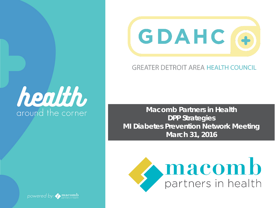



### **GREATER DETROIT AREA HEALTH COUNCIL**

**Macomb Partners in Health DPP Strategies MI Diabetes Prevention Network Meeting March 31, 2016**



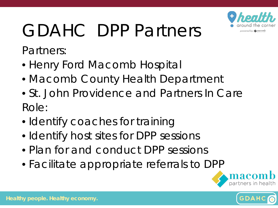

# GDAHC DPP Partners

Partners:

- Henry Ford Macomb Hospital
- Macomb County Health Department
- St. John Providence and Partners In Care Role:
- Identify coaches for training
- Identify host sites for DPP sessions
- Plan for and conduct DPP sessions
- Facilitate appropriate referrals to DPP



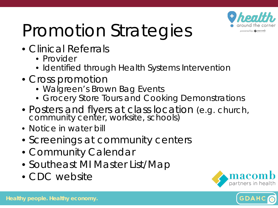

# Promotion Strategies

- Clinical Referrals
	- Provider
	- Identified through Health Systems Intervention
- Cross promotion
	- Walgreen's Brown Bag Events
	- Grocery Store Tours and Cooking Demonstrations
- Posters and flyers at class location (e.g. church, community center, worksite, schools)
- Notice in water bill
- Screenings at community centers
- Community Calendar
- Southeast MI Master List/Map
- CDC website



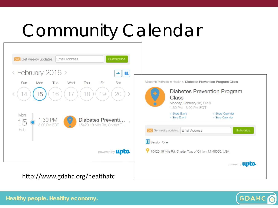## Community Calendar





**Healthy people. Healthy economy.**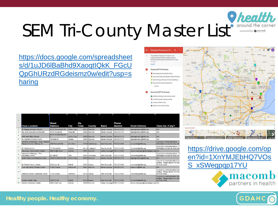#### **Thealth** around the corner SEM Tri-County Master List powered by: macomb

https://docs.google.com/spreadsheet [s/d/1uJD6lBaBhd9XaoqtIQkK\\_FGcU](https://docs.google.com/spreadsheets/d/1uJD6lBaBhd9XaoqtIQkK_FGcUQpGhURzdRGdeismz0w/edit?usp=sharing) QpGhURzdRGdeismz0w/edit?usp=s haring



**RELATED MAPS** 

|                         |                                                                       | <b>Street</b>         |              | Zip  |                  |                              | Phone         |                                   |                                                                                         |
|-------------------------|-----------------------------------------------------------------------|-----------------------|--------------|------|------------------|------------------------------|---------------|-----------------------------------|-----------------------------------------------------------------------------------------|
|                         | <b>Class Location</b>                                                 | <b>Address</b>        | City         | Code | County           | <b>Name</b>                  | <b>Number</b> | <b>Email Address</b>              | Class fee, if any?                                                                      |
| $\overline{a}$          | St Therese of Lisieux Church                                          | 48115 Schoenherr Rd   | Shelby Twp.  |      | 48315 Macomb     | Marian Giacona               | 586-263-2115  | dppregistration@hfhs.org          | N/A                                                                                     |
| $\overline{\mathbf{a}}$ | Rec Auth Roseville & Eastpointe                                       | 18185 Sycamore        | Roseville    |      | 48066 Macomb     | Marian Giacona               | 586-236-2115  | dppregistration@hfhs.org          | N/A                                                                                     |
| 4                       | <b>HFM Med Office Pavilion</b>                                        | 16151 19 Mile Mtg Rm  | Clinton Twp. |      | 48038 Macomb     | Marian Giacona               | 586-263-2115  | dppregistration@hfhs.org          | N/A                                                                                     |
| 5                       | St. Clement of Rome Church                                            | 342 Main St           | Romeo        |      | 48065 Macomb     | Marian Giacona               | 586-263-2115  | dppregistration@hfhs.org          | N/A                                                                                     |
|                         | University of Michigan - North Campus<br>Research Center, Building 16 | 2800 Plymouth Rd      | Ann Arbor    |      | 48109 Washtenaw  | Sam Shopinski                | 734-222-9800  | sshopinski@nkfm.org               | Covered by some insurances. A<br>information session for more info                      |
| $\overline{7}$          | St. Patrick Church                                                    | 711 Rickett Rd        | Brighton     |      | 48116 Livinaston | Sam Shopinski                | 734-222-9800  | sshopinski@nkfm.org               | Covered by some insurances. P<br>information session for more info                      |
| R                       | Advantage Family Health Center                                        | 4669 8 Mile Road      | Warren       |      | 48091 Macomb     | Ashley Mascagni 586-412-6393 |               | ashley.mascagni@macombgov.org N/A |                                                                                         |
| ٩                       | University of Michigan - Flint<br><b>Recreation Center</b>            | 401 Mill St.          | Flint        |      | 48502 Genessee   | Sam Shopinski                | 734-222-9800  | sshopinski@nkfm.org               | Covered by some insurances. P<br>information session for more deta                      |
| 10                      | South Family Med/Neighbors Clinic                                     | 15420 19 Mile Ste 200 | Clinton Twp. |      | 48038 Macomb     | Marian Giacona               | 586-263-2115  | dppregistration@hfhs.org          | N/A                                                                                     |
| 11                      | St. Patrick's Senior Center                                           | 58 Parson St          | Detroit      |      | 48201 Wavne      | Sam Shopinski                | 734-222-9800  | sshopinski@nkfm.org               | Covered by some insurances and<br>funding. Please attend informatio<br>for more detail. |
| 12                      | Love Life Family Christian Center                                     | 17363 Toepfer         | Eastpointe   |      | 48021 Macomb     | Marian Giacona               | 586 263 2115  | mgiacon1@hfhs.org                 | N/A                                                                                     |
| 13                      | Jefferson Barnes Community Center                                     | 32150 Dorsey          | Westland     |      | 48186 Wayne      | Sam Shopinski                | 734-222-9800  | sshopinski@nkfm.org               | Covered by some insurance and<br>funding. Please attend informatio<br>for more detail   |
| 14                      | <b>Trenton Athletic Club</b>                                          | 1630 Fort St.         | Detroit      |      | 48183 Wayne      | Sam Shopinski                | 734-222-9800  | sshopinski@nkfm.org               | Covered by some insurance and<br>funding. Please attend informatio<br>for more detail.  |
| 15                      | Warren Community Center                                               | 5460 Arden Ave        | Warren       |      | 48092 Macomb     | Ashley Mascagni 586-412-6393 |               | ashley.mascagni@macombgov.org N/A |                                                                                         |

https://drive.google.com/op [en?id=1XnYMJEbHQ7VOs](https://drive.google.com/open?id=1XnYMJEbHQ7VOsS_xSWegpqp17YU) S\_xSWegpqp17YU





#### **Healthy people. Healthy economy.**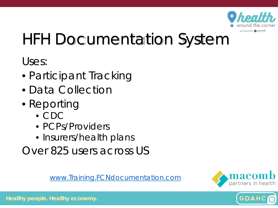

### HFH Documentation System

Uses:

- Participant Tracking
- Data Collection
- Reporting
	- CDC
	- PCPs/Providers
	- Insurers/health plans
- Over 825 users across US

[www.Training.FCNdocumentation.com](http://www.training.fcndocumentation.com/)



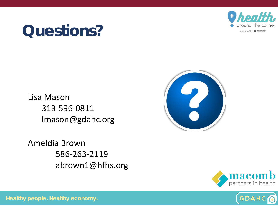

### **Questions?**

Lisa Mason 313-596-0811 lmason@gdahc.org

Ameldia Brown 586-263-2119 abrown1@hfhs.org